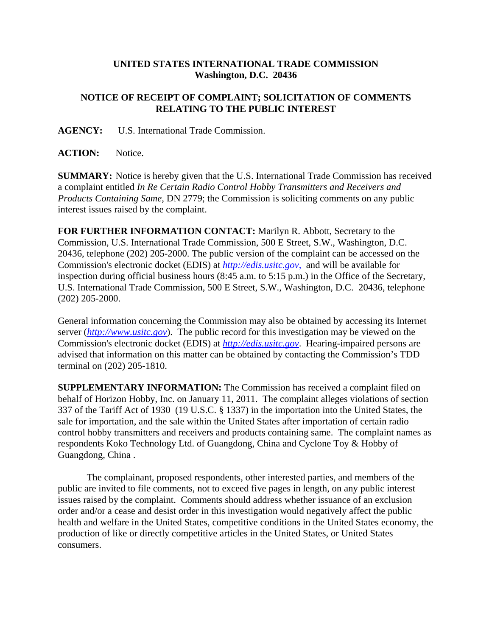## **UNITED STATES INTERNATIONAL TRADE COMMISSION Washington, D.C. 20436**

## **NOTICE OF RECEIPT OF COMPLAINT; SOLICITATION OF COMMENTS RELATING TO THE PUBLIC INTEREST**

**AGENCY:** U.S. International Trade Commission.

ACTION: Notice.

**SUMMARY:** Notice is hereby given that the U.S. International Trade Commission has received a complaint entitled *In Re Certain Radio Control Hobby Transmitters and Receivers and Products Containing Same*, DN 2779; the Commission is soliciting comments on any public interest issues raised by the complaint.

**FOR FURTHER INFORMATION CONTACT:** Marilyn R. Abbott, Secretary to the Commission, U.S. International Trade Commission, 500 E Street, S.W., Washington, D.C. 20436, telephone (202) 205-2000. The public version of the complaint can be accessed on the Commission's electronic docket (EDIS) at *http://edis.usitc.gov*, and will be available for inspection during official business hours (8:45 a.m. to 5:15 p.m.) in the Office of the Secretary, U.S. International Trade Commission, 500 E Street, S.W., Washington, D.C. 20436, telephone (202) 205-2000.

General information concerning the Commission may also be obtained by accessing its Internet server (*http://www.usitc.gov*). The public record for this investigation may be viewed on the Commission's electronic docket (EDIS) at *http://edis.usitc.gov*. Hearing-impaired persons are advised that information on this matter can be obtained by contacting the Commission's TDD terminal on (202) 205-1810.

**SUPPLEMENTARY INFORMATION:** The Commission has received a complaint filed on behalf of Horizon Hobby, Inc. on January 11, 2011. The complaint alleges violations of section 337 of the Tariff Act of 1930 (19 U.S.C. § 1337) in the importation into the United States, the sale for importation, and the sale within the United States after importation of certain radio control hobby transmitters and receivers and products containing same. The complaint names as respondents Koko Technology Ltd. of Guangdong, China and Cyclone Toy & Hobby of Guangdong, China .

The complainant, proposed respondents, other interested parties, and members of the public are invited to file comments, not to exceed five pages in length, on any public interest issues raised by the complaint. Comments should address whether issuance of an exclusion order and/or a cease and desist order in this investigation would negatively affect the public health and welfare in the United States, competitive conditions in the United States economy, the production of like or directly competitive articles in the United States, or United States consumers.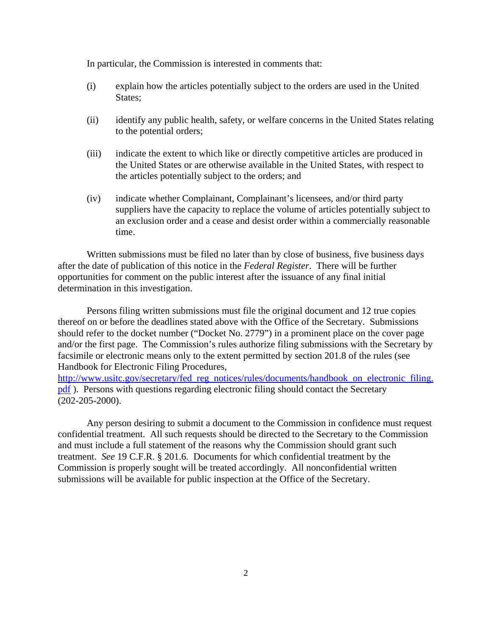In particular, the Commission is interested in comments that:

- (i) explain how the articles potentially subject to the orders are used in the United States;
- (ii) identify any public health, safety, or welfare concerns in the United States relating to the potential orders;
- (iii) indicate the extent to which like or directly competitive articles are produced in the United States or are otherwise available in the United States, with respect to the articles potentially subject to the orders; and
- (iv) indicate whether Complainant, Complainant's licensees, and/or third party suppliers have the capacity to replace the volume of articles potentially subject to an exclusion order and a cease and desist order within a commercially reasonable time.

Written submissions must be filed no later than by close of business, five business days after the date of publication of this notice in the *Federal Register*. There will be further opportunities for comment on the public interest after the issuance of any final initial determination in this investigation.

Persons filing written submissions must file the original document and 12 true copies thereof on or before the deadlines stated above with the Office of the Secretary. Submissions should refer to the docket number ("Docket No. 2779") in a prominent place on the cover page and/or the first page. The Commission's rules authorize filing submissions with the Secretary by facsimile or electronic means only to the extent permitted by section 201.8 of the rules (see Handbook for Electronic Filing Procedures,

http://www.usitc.gov/secretary/fed\_reg\_notices/rules/documents/handbook\_on\_electronic\_filing. pdf ). Persons with questions regarding electronic filing should contact the Secretary (202-205-2000).

Any person desiring to submit a document to the Commission in confidence must request confidential treatment. All such requests should be directed to the Secretary to the Commission and must include a full statement of the reasons why the Commission should grant such treatment. *See* 19 C.F.R. § 201.6. Documents for which confidential treatment by the Commission is properly sought will be treated accordingly. All nonconfidential written submissions will be available for public inspection at the Office of the Secretary.